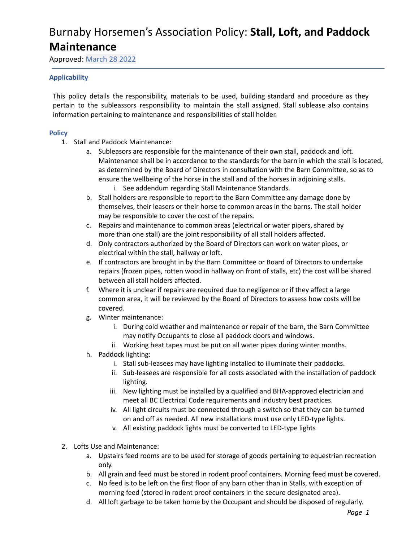Approved: March 28 2022

### **Applicability**

This policy details the responsibility, materials to be used, building standard and procedure as they pertain to the subleassors responsibility to maintain the stall assigned. Stall sublease also contains information pertaining to maintenance and responsibilities of stall holder.

### **Policy**

- 1. Stall and Paddock Maintenance:
	- a. Subleasors are responsible for the maintenance of their own stall, paddock and loft. Maintenance shall be in accordance to the standards for the barn in which the stall is located, as determined by the Board of Directors in consultation with the Barn Committee, so as to ensure the wellbeing of the horse in the stall and of the horses in adjoining stalls.
		- i. See addendum regarding Stall Maintenance Standards.
	- b. Stall holders are responsible to report to the Barn Committee any damage done by themselves, their leasers or their horse to common areas in the barns. The stall holder may be responsible to cover the cost of the repairs.
	- c. Repairs and maintenance to common areas (electrical or water pipers, shared by more than one stall) are the joint responsibility of all stall holders affected.
	- d. Only contractors authorized by the Board of Directors can work on water pipes, or electrical within the stall, hallway or loft.
	- e. If contractors are brought in by the Barn Committee or Board of Directors to undertake repairs (frozen pipes, rotten wood in hallway on front of stalls, etc) the cost will be shared between all stall holders affected.
	- f. Where it is unclear if repairs are required due to negligence or if they affect a large common area, it will be reviewed by the Board of Directors to assess how costs will be covered.
	- g. Winter maintenance:
		- i. During cold weather and maintenance or repair of the barn, the Barn Committee may notify Occupants to close all paddock doors and windows.
		- ii. Working heat tapes must be put on all water pipes during winter months.
	- h. Paddock lighting:
		- i. Stall sub-leasees may have lighting installed to illuminate their paddocks.
		- ii. Sub-leasees are responsible for all costs associated with the installation of paddock lighting.
		- iii. New lighting must be installed by a qualified and BHA-approved electrician and meet all BC Electrical Code requirements and industry best practices.
		- iv. All light circuits must be connected through a switch so that they can be turned on and off as needed. All new installations must use only LED-type lights.
		- v. All existing paddock lights must be converted to LED-type lights
- 2. Lofts Use and Maintenance:
	- a. Upstairs feed rooms are to be used for storage of goods pertaining to equestrian recreation only.
	- b. All grain and feed must be stored in rodent proof containers. Morning feed must be covered.
	- c. No feed is to be left on the first floor of any barn other than in Stalls, with exception of morning feed (stored in rodent proof containers in the secure designated area).
	- d. All loft garbage to be taken home by the Occupant and should be disposed of regularly.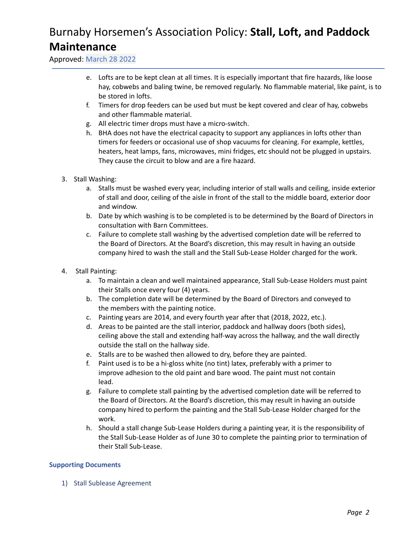Approved: March 28 2022

- e. Lofts are to be kept clean at all times. It is especially important that fire hazards, like loose hay, cobwebs and baling twine, be removed regularly. No flammable material, like paint, is to be stored in lofts.
- f. Timers for drop feeders can be used but must be kept covered and clear of hay, cobwebs and other flammable material.
- g. All electric timer drops must have a micro-switch.
- h. BHA does not have the electrical capacity to support any appliances in lofts other than timers for feeders or occasional use of shop vacuums for cleaning. For example, kettles, heaters, heat lamps, fans, microwaves, mini fridges, etc should not be plugged in upstairs. They cause the circuit to blow and are a fire hazard.
- 3. Stall Washing:
	- a. Stalls must be washed every year, including interior of stall walls and ceiling, inside exterior of stall and door, ceiling of the aisle in front of the stall to the middle board, exterior door and window.
	- b. Date by which washing is to be completed is to be determined by the Board of Directors in consultation with Barn Committees.
	- c. Failure to complete stall washing by the advertised completion date will be referred to the Board of Directors. At the Board's discretion, this may result in having an outside company hired to wash the stall and the Stall Sub-Lease Holder charged for the work.
- 4. Stall Painting:
	- a. To maintain a clean and well maintained appearance, Stall Sub-Lease Holders must paint their Stalls once every four (4) years.
	- b. The completion date will be determined by the Board of Directors and conveyed to the members with the painting notice.
	- c. Painting years are 2014, and every fourth year after that (2018, 2022, etc.).
	- d. Areas to be painted are the stall interior, paddock and hallway doors (both sides), ceiling above the stall and extending half-way across the hallway, and the wall directly outside the stall on the hallway side.
	- e. Stalls are to be washed then allowed to dry, before they are painted.
	- f. Paint used is to be a hi-gloss white (no tint) latex, preferably with a primer to improve adhesion to the old paint and bare wood. The paint must not contain lead.
	- g. Failure to complete stall painting by the advertised completion date will be referred to the Board of Directors. At the Board's discretion, this may result in having an outside company hired to perform the painting and the Stall Sub-Lease Holder charged for the work.
	- h. Should a stall change Sub-Lease Holders during a painting year, it is the responsibility of the Stall Sub-Lease Holder as of June 30 to complete the painting prior to termination of their Stall Sub-Lease.

### **Supporting Documents**

1) Stall Sublease Agreement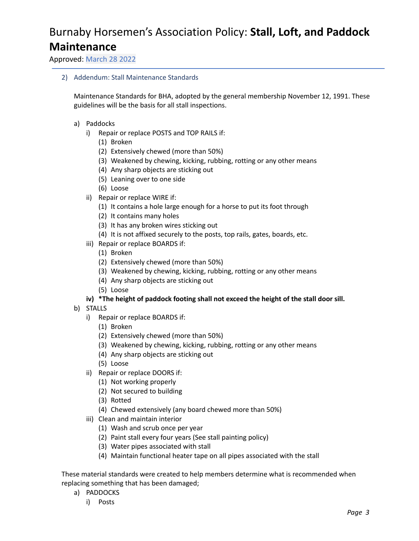Approved: March 28 2022

2) Addendum: Stall Maintenance Standards

Maintenance Standards for BHA, adopted by the general membership November 12, 1991. These guidelines will be the basis for all stall inspections.

- a) Paddocks
	- i) Repair or replace POSTS and TOP RAILS if:
		- (1) Broken
		- (2) Extensively chewed (more than 50%)
		- (3) Weakened by chewing, kicking, rubbing, rotting or any other means
		- (4) Any sharp objects are sticking out
		- (5) Leaning over to one side
		- (6) Loose
	- ii) Repair or replace WIRE if:
		- (1) It contains a hole large enough for a horse to put its foot through
		- (2) It contains many holes
		- (3) It has any broken wires sticking out
		- (4) It is not affixed securely to the posts, top rails, gates, boards, etc.
	- iii) Repair or replace BOARDS if:
		- (1) Broken
		- (2) Extensively chewed (more than 50%)
		- (3) Weakened by chewing, kicking, rubbing, rotting or any other means
		- (4) Any sharp objects are sticking out
		- (5) Loose

### **iv) \*The height of paddock footing shall not exceed the height of the stall door sill.**

- b) STALLS
	- i) Repair or replace BOARDS if:
		- (1) Broken
		- (2) Extensively chewed (more than 50%)
		- (3) Weakened by chewing, kicking, rubbing, rotting or any other means
		- (4) Any sharp objects are sticking out
		- (5) Loose
	- ii) Repair or replace DOORS if:
		- (1) Not working properly
		- (2) Not secured to building
		- (3) Rotted
		- (4) Chewed extensively (any board chewed more than 50%)
	- iii) Clean and maintain interior
		- (1) Wash and scrub once per year
		- (2) Paint stall every four years (See stall painting policy)
		- (3) Water pipes associated with stall
		- (4) Maintain functional heater tape on all pipes associated with the stall

These material standards were created to help members determine what is recommended when replacing something that has been damaged;

- a) PADDOCKS
	- i) Posts